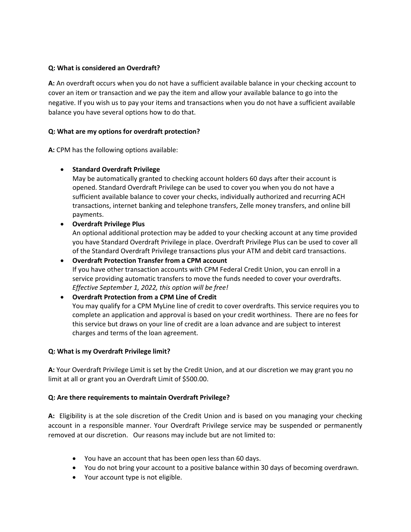### **Q: What is considered an Overdraft?**

**A:** An overdraft occurs when you do not have a sufficient available balance in your checking account to cover an item or transaction and we pay the item and allow your available balance to go into the negative. If you wish us to pay your items and transactions when you do not have a sufficient available balance you have several options how to do that.

## **Q: What are my options for overdraft protection?**

**A:** CPM has the following options available:

## • **Standard Overdraft Privilege**

May be automatically granted to checking account holders 60 days after their account is opened. Standard Overdraft Privilege can be used to cover you when you do not have a sufficient available balance to cover your checks, individually authorized and recurring ACH transactions, internet banking and telephone transfers, Zelle money transfers, and online bill payments.

## • **Overdraft Privilege Plus**

An optional additional protection may be added to your checking account at any time provided you have Standard Overdraft Privilege in place. Overdraft Privilege Plus can be used to cover all of the Standard Overdraft Privilege transactions plus your ATM and debit card transactions.

• **Overdraft Protection Transfer from a CPM account** If you have other transaction accounts with CPM Federal Credit Union, you can enroll in a service providing automatic transfers to move the funds needed to cover your overdrafts. *Effective September 1, 2022, this option will be free!*

## • **Overdraft Protection from a CPM Line of Credit**  You may qualify for a CPM MyLine line of credit to cover overdrafts. This service requires you to complete an application and approval is based on your credit worthiness. There are no fees for this service but draws on your line of credit are a loan advance and are subject to interest charges and terms of the loan agreement.

#### **Q: What is my Overdraft Privilege limit?**

**A:** Your Overdraft Privilege Limit is set by the Credit Union, and at our discretion we may grant you no limit at all or grant you an Overdraft Limit of \$500.00.

#### **Q: Are there requirements to maintain Overdraft Privilege?**

**A:** Eligibility is at the sole discretion of the Credit Union and is based on you managing your checking account in a responsible manner. Your Overdraft Privilege service may be suspended or permanently removed at our discretion. Our reasons may include but are not limited to:

- You have an account that has been open less than 60 days.
- You do not bring your account to a positive balance within 30 days of becoming overdrawn.
- Your account type is not eligible.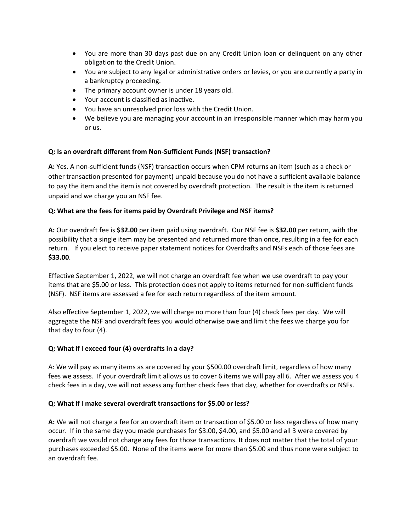- You are more than 30 days past due on any Credit Union loan or delinquent on any other obligation to the Credit Union.
- You are subject to any legal or administrative orders or levies, or you are currently a party in a bankruptcy proceeding.
- The primary account owner is under 18 years old.
- Your account is classified as inactive.
- You have an unresolved prior loss with the Credit Union.
- We believe you are managing your account in an irresponsible manner which may harm you or us.

#### **Q: Is an overdraft different from Non-Sufficient Funds (NSF) transaction?**

**A:** Yes. A non-sufficient funds (NSF) transaction occurs when CPM returns an item (such as a check or other transaction presented for payment) unpaid because you do not have a sufficient available balance to pay the item and the item is not covered by overdraft protection. The result is the item is returned unpaid and we charge you an NSF fee.

#### **Q: What are the fees for items paid by Overdraft Privilege and NSF items?**

**A:** Our overdraft fee is **\$32.00** per item paid using overdraft. Our NSF fee is **\$32.00** per return, with the possibility that a single item may be presented and returned more than once, resulting in a fee for each return. If you elect to receive paper statement notices for Overdrafts and NSFs each of those fees are **\$33.00**.

Effective September 1, 2022, we will not charge an overdraft fee when we use overdraft to pay your items that are \$5.00 or less. This protection does not apply to items returned for non-sufficient funds (NSF). NSF items are assessed a fee for each return regardless of the item amount.

Also effective September 1, 2022, we will charge no more than four (4) check fees per day. We will aggregate the NSF and overdraft fees you would otherwise owe and limit the fees we charge you for that day to four (4).

#### **Q: What if I exceed four (4) overdrafts in a day?**

A: We will pay as many items as are covered by your \$500.00 overdraft limit, regardless of how many fees we assess. If your overdraft limit allows us to cover 6 items we will pay all 6. After we assess you 4 check fees in a day, we will not assess any further check fees that day, whether for overdrafts or NSFs.

#### **Q: What if I make several overdraft transactions for \$5.00 or less?**

**A:** We will not charge a fee for an overdraft item or transaction of \$5.00 or less regardless of how many occur. If in the same day you made purchases for \$3.00, \$4.00, and \$5.00 and all 3 were covered by overdraft we would not charge any fees for those transactions. It does not matter that the total of your purchases exceeded \$5.00. None of the items were for more than \$5.00 and thus none were subject to an overdraft fee.